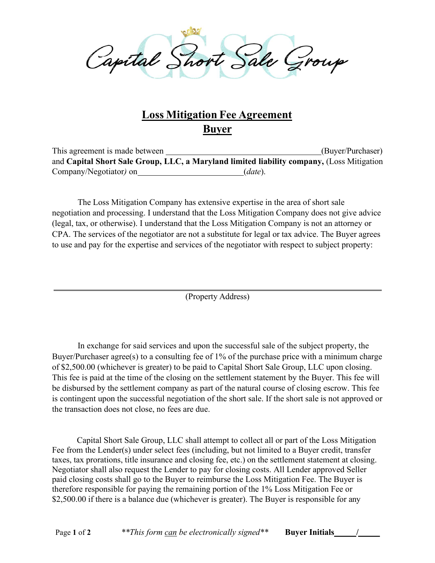al Short Sale Group Capital Short Sale Group<br>
Loss Mitigation Fee Agreement<br>
This agreement is made between<br>
and Capital Short Sale Group, LLC, a Maryland limited liability company, (Loss Mitigation<br>
Company/Negotiator) on (date).<br>
The Loss M Capital Short Sale Group<br>
Loss Mitigation Fee Agreement<br>
Buyer<br>
This agreement is made between<br>
and Capital Short Sale Group, LLC, a Maryland limited liability company, (Loss Mitigation<br>
Company/Negotiator) on (date).<br>
The

# Buyer

This agreement is made between (Buyer/Purchaser)

The Loss Mitigation Company has extensive expertise in the area of short sale negotiation and processing. I understand that the Loss Mitigation Company does not give advice (legal, tax, or otherwise). I understand that the Loss Mitigation Company is not an attorney or Capartal Short Sale Group<br>
Buyer Buyer (Buyer/Purchaser)<br>
This agreement is made between<br>
This agreement capital Short Sale Group, LLC, a Maryland limited liability company, (Loss Mitigation<br>
Company/Negotiator) on *(date* **Example 18 COVE CONSTRANCE CONSTRANCE CONSTRANCE CONSTRANCE CONSTRANCE CONSTRANCE CONSTRANCE (Buyer/Purchaser)**<br>
This agreement is made between <u>the croup, LLC, a Maryland limited liability company</u>, (Loss Mitigation Com

(Property Address)

The Loss Mitigation Company has extensive expertise in the area of short sale<br>
The Loss Mitigation Company has extensive expertise in the area of short sale<br>
tion and processing. I understand that the Loss Mitigation Comp Counter and provides the area of short sale.<br>
The Loss Mitigation Company has extensive expertise in the area of short sale<br>
regoliation and processing. I understand that the Loss Mitigation Company does not give advice<br>
( The Loss Mitigation Company has extensive expertise in the area of short sale<br>negotiation and processing. I understand that the Loss Mitigation Company does not give advice<br>(legal, tax, or otherwise). I understand that the This fee is paid at the time of the closing on the settlement statement by the Buyer. This fee will be disbursed by the settlement company as part of the natural course of closing escrow. This fee is contingent upon the successful negotiation of the short sale. If the short sale is not approved or (reg., aca, or outerwise). Tuncessiant unter Exos *sotinguator* company is not an automorphic CPA. The services of the negotiator are not a substitute for legal or tax advice. The Buye<br>to use and pay for the expertise and (Property Address)<br>
In exchange for said services and upon the successful sale of the subject property, the<br>
Purchaser agree(s) to a consulting fee of 1% of the purchase price with a minimum charge<br>
00.000 (whichever is gr The excelses of the subsections, the metallical statement is property. The subsect property, the Buyer/Purchaser agrec(s) to a consulting fee of 1% of the purchase price with a minimum charge ports, 5.0.0.0 (whichever is g In exchange for said services and upon the successful sale of the subject property, the<br>Buyer/Purchaser agrec(s) to a consulting fee of 1% of the purchase price with a minimum charge<br>of \$2,500.00 (whichever is greater) to

Fee from the Lender(s) under select fees (including, but not limited to a Buyer credit, transfer paid closing costs shall go to the Buyer to reimburse the Loss Mitigation Fee. The Buyer is therefore responsible for paying the remaining portion of the 1% Loss Mitigation Fee or From the calculation of the subsect of the subsection and the subsect prior (see the subsect prior). The state of 52,500.00 (whichever is greater) to be paid to Capital Short Sale Group, LLC upon closing.<br>
This fee is pai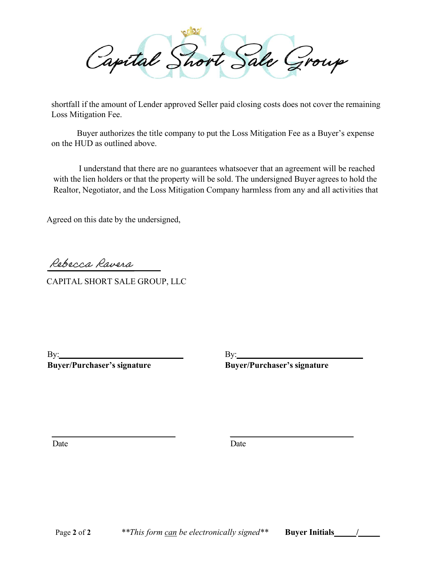Shortfall if the amount of Lender approved Seller paid closing costs does not cover the remaining<br>Loss Mitigation Fee.<br>Buyer authorizes the title company to put the Loss Mitigation Fee as a Buyer's expense<br>on the HUD as ou Capital Short Sale Group<br>
If the amount of Lender approved Seller paid closing costs does not cover the remaining<br>
itigation Fee.<br>
Buyer authorizes the title company to put the Loss Mitigation Fee as a Buyer's expense<br>
IU Capetital Short Sale Group<br>shortfall if the amount of Lender approved Seller paid elosing costs does not cover the remaining<br>oss Mitigation Fee.<br>Buyer authorizes the title company to put the Loss Mitigation Fee as a Buyer' Capital Short Sale Group<br>shortfall if the amount of Lender approved Seller paid closing costs does not cover the rent<br>Loss Mitigation Fee.<br>Buyer authorizes the title company to put the Loss Mitigation Fee as a Buyer's exp<br>

Loss Mitigation Fee.

on the HUD as outlined above.

I understand that there are no guarantees whatsoever that an agreement will be reached with the lien holders or that the property will be sold. The undersigned Buyer agrees to hold the shortall if the amount of Lender approved Seller paid closing costs does not cover the remaining<br>Loss Mitigation Fee.<br>Buyer authorizes the title company to put the Loss Mitigation Fee as a Buyer's expense<br>on the HUD as out What the Rein Bostels of that all property will be both. The unterligible Dayer agrees to Realtor, Negotiator, and the Loss Mitigation Company harmless from any and all activity agreed on this date by the undersigned,<br>Agre Rue and the distribution of the distribution of the distribution of the distribution of the distribution of the distribution of the distribution of the distribution of the distribution of the distribution of the distributi

Reservation Control Control Control Control Control Control Control Control Control Control Control Control Control Control Control Control Control Control Control Control Control Control Control Control Control Control Co

By:<br>Buyer/Purchaser's signature

By:<br>Buyer/Purchaser's signature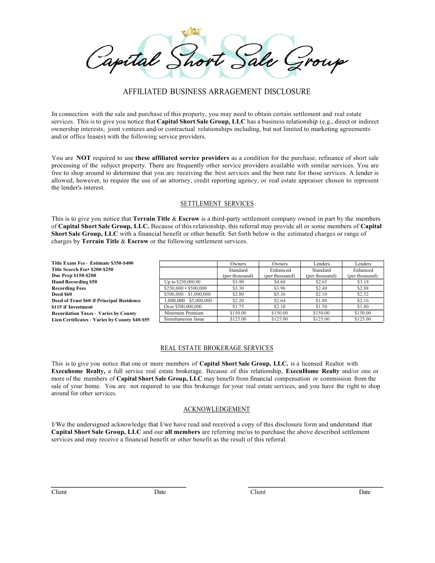**AFFILIATED BUSINESS ARRAGEMENT DISCLOSURE**<br>AFFILIATED BUSINESS ARRAGEMENT DISCLOSURE<br>e and purchase of this property, you may need to obtain certain settlement and real estate<br>ventures and/or contractual relationships inc Capital Short Sale and Connection with the sale and purchase of this property, you may need to obtain certain settlement and real estate<br>In connection with the sale and purchase of this property, you may need to obtain cer Sale Groupe of the subject of property. There are frequently other services and other in strilence that Capital Short Sale Group, LLC has a business relationship (e.g., direct or indirect energies. This is to give you noti **CAPTICAL SHOTT SALE SALE SALE SPOLUS**<br>
AFFILIATED BUSINESS ARRAGEMENT DISCLOSURE<br>
In connection with the sale and purchase of this property, you may need to obtain certain settlement and real estate<br>
services. This is to COLOGITY SUCK CONTINUES ARRAGEMENT DISCLOSURE<br>
In connection with the sale and purchase of this property, you may need to obtain certain settlement and real estate<br>
services. This is to give you notice that Capital Short S **PROCESS**<br> **EXECUTE:** THE SUSINESS ARRAGEMENT DISCLOSURE<br>
In connection with the sale and purchase of this property, you may need to obtain certain settlement and real estate<br>
vorsens in the subject property of the subject Free to short show and the shop around to the shop around the shop are received to the best services. This is to give you notice that Capital Short Sac Group, LLC has a basiness relationship (e.g., direct or indirect servi Capabrica Control BUSINESS ARRAGEMENT DISCLOSURE.<br>
In connection with the sale and purchase of this property, you may need to obtain certain settlement and real estate<br>
servects. This is to give you notice that capital Sho **Example 18 CONTROLL CONTROLL CONTROLL CONTROLL CONTROLL SURFERED SIGNATURE SIGNATURE SIGNATURE (SURFERED SIGNATURE)**<br>
SINCES ARRAGEMENT DISCLOSURE<br>
INCRED COUP, LLC has a business relationship (e.g., direct or indirect<br>
I

the lender's interest. Capacital Short Company of the sale and particles of this property, you may need to obtain certain settlement and real cases<br>services. This is to give you notice that Capital Short Sale Group, I.I.C has a business relation **Capital Short Short Sale Group**<br>
AFFILIATED BUSINESS ARRAGEMENT DISCLOSURE<br>
In connection with the sule and purchase of this property, you may need to obtuin certain settlement and real elastes<br>
services. This is to give Capacitaties Short Sale Group, LC Because of this relationship, this referralisement of a financial benefit or other benefits that a financial benefit or other benefit. Set for  $\alpha$  and  $\alpha$  or other benefit or  $\alpha$  are t

|                                                                                                                                                                                                                                                                                                                                                                                                                                                                                                                                             | AFFILIATED BUSINESS ARRAGEMENT DISCLOSURE |                            |                          |                          |                          |
|---------------------------------------------------------------------------------------------------------------------------------------------------------------------------------------------------------------------------------------------------------------------------------------------------------------------------------------------------------------------------------------------------------------------------------------------------------------------------------------------------------------------------------------------|-------------------------------------------|----------------------------|--------------------------|--------------------------|--------------------------|
| In connection with the sale and purchase of this property, you may need to obtain certain settlement and real estate<br>services. This is to give you notice that Capital Short Sale Group, LLC has a business relationship (e.g., direct or indirect<br>ownership interests, joint ventures and/or contractual relationships including, but not limited to marketing agreements<br>and/or office leases) with the following service providers.                                                                                             |                                           |                            |                          |                          |                          |
| You are NOT required to use these affiliated service providers as a condition for the purchase, refinance of short sale<br>processing of the subject property. There are frequently other service providers available with similar services. You are<br>free to shop around to determine that you are receiving the best services and the best rate for those services. A lender is<br>allowed, however, to require the use of an attorney, credit reporting agency, or real estate appraiser chosen to represent<br>the lender's interest. |                                           |                            |                          |                          |                          |
|                                                                                                                                                                                                                                                                                                                                                                                                                                                                                                                                             |                                           | <b>SETTLEMENT SERVICES</b> |                          |                          |                          |
| of Capital Short Sale Group, LLC. Because of this relationship, this referral may provide all or some members of Capital<br>Short Sale Group, LLC with a financial benefit or other benefit. Set forth below is the estimated charges or range of<br>charges by Terrain Title & Escrow or the following settlement services.                                                                                                                                                                                                                |                                           |                            |                          |                          |                          |
| Title Exam Fee - Estimate \$350-\$400                                                                                                                                                                                                                                                                                                                                                                                                                                                                                                       |                                           | Owners                     | Owners                   | Lenders                  | Lenders                  |
| Title Search Fee• \$200-\$250                                                                                                                                                                                                                                                                                                                                                                                                                                                                                                               |                                           | Standard                   | Enhanced                 | Standard                 | Enhanced                 |
| Doc Prep \$150-\$200<br><b>Hand Recording \$50</b>                                                                                                                                                                                                                                                                                                                                                                                                                                                                                          | Up to \$250,000.00                        | (per thousand)<br>\$3.90   | (per thousand)<br>\$4.68 | (per thousand)<br>\$2.65 | (per thousand)<br>\$3.18 |
| <b>Recording Fees</b>                                                                                                                                                                                                                                                                                                                                                                                                                                                                                                                       | $$250,000 \cdot $500,000$                 | \$3.30                     | \$3.96                   | \$2.40                   | \$2.88                   |
| Deed \$60                                                                                                                                                                                                                                                                                                                                                                                                                                                                                                                                   | $$500,000 \cdot $1,000,000$               | \$2.80                     | \$3.36                   | \$2.10                   | \$2.52                   |
| Deed of Trust \$60 if Principal Residence                                                                                                                                                                                                                                                                                                                                                                                                                                                                                                   | $1,000,000 \cdot $5,000,000$              | \$2.20                     | \$2.64                   | \$1.80                   | \$2.16                   |
| \$115 if Investment                                                                                                                                                                                                                                                                                                                                                                                                                                                                                                                         | Over \$500,000,000<br>Minimum Premium     | \$1.75<br>\$150.00         | \$2.10<br>\$150.00       | \$1.50<br>\$150.00       | \$1.80<br>\$150.00       |
| <b>Recordation Taxes - Varies by County</b><br>Lien Certificates - Varies by County \$40-\$55                                                                                                                                                                                                                                                                                                                                                                                                                                               | Simultaneous Issue                        | \$125.00                   | \$125.00                 | \$125.00                 | \$125.00                 |
| This is to give you notice that one or more members of Capital Short Sale Group, LLC. is a licensed Realtor with                                                                                                                                                                                                                                                                                                                                                                                                                            | REAL ESTATE BROKERAGE SERVICES            |                            |                          |                          |                          |
| Executione Realty, a full service real estate brokerage. Because of this relationship, ExecuHome Realty and/or one or<br>more of the members of Capital Short Sale Group, LLC may benefit from financial compensation or commission from the<br>sale of your home. You are not required to use this brokerage for your real estate services, and you have the right to shop<br>around for other services.                                                                                                                                   |                                           |                            |                          |                          |                          |
|                                                                                                                                                                                                                                                                                                                                                                                                                                                                                                                                             | <b>ACKNOWLEDGEMENT</b>                    |                            |                          |                          |                          |
| I/We the undersigned acknowledge that I/we have read and received a copy of this disclosure form and understand that<br>Capital Short Sale Group, LLC and our all members are referring me/us to purchase the above described settlement<br>services and may receive a financial benefit or other benefit as the result of this referral.                                                                                                                                                                                                   |                                           |                            |                          |                          |                          |
|                                                                                                                                                                                                                                                                                                                                                                                                                                                                                                                                             |                                           |                            |                          |                          |                          |

#### ACKNOWLEDGEMENT

Client Date Date Client Date Date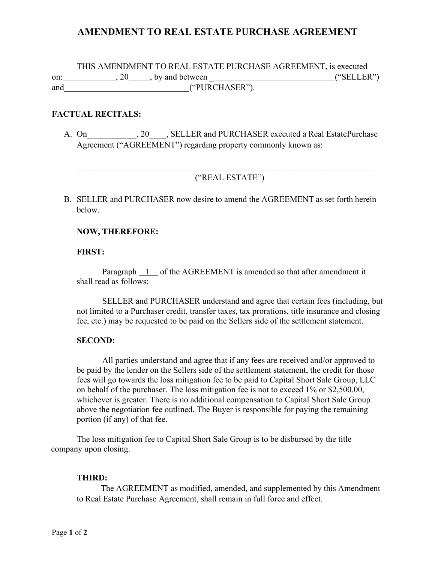## AMENDMENT TO REAL ESTATE PURCHASE AGREEMENT

THIS AMENDMENT TO REAL ESTATE PURCHASE AGREEMENT, is executed on:  $\qquad \qquad .20 \qquad .$  by and between  $\qquad \qquad$  ("SELLER") and ("PURCHASER").

### FACTUAL RECITALS:

A. On 20, SELLER and PURCHASER executed a Real Estate Purchase Agreement ("AGREEMENT") regarding property commonly known as:

### ("REAL ESTATE")

B. SELLER and PURCHASER now desire to amend the AGREEMENT as set forth herein below.

#### NOW, THEREFORE:

#### FIRST:

Paragraph 1 of the AGREEMENT is amended so that after amendment it shall read as follows:

SELLER and PURCHASER understand and agree that certain fees (including, but not limited to a Purchaser credit, transfer taxes, tax prorations, title insurance and closing fee, etc.) may be requested to be paid on the Sellers side of the settlement statement.

### SECOND:

All parties understand and agree that if any fees are received and/or approved to be paid by the lender on the Sellers side of the settlement statement, the credit for those fees will go towards the loss mitigation fee to be paid to Capital Short Sale Group, LLC on behalf of the purchaser. The loss mitigation fee is not to exceed 1% or \$2,500.00, whichever is greater. There is no additional compensation to Capital Short Sale Group above the negotiation fee outlined. The Buyer is responsible for paying the remaining portion (if any) of that fee.

The loss mitigation fee to Capital Short Sale Group is to be disbursed by the title company upon closing.

#### THIRD:

 The AGREEMENT as modified, amended, and supplemented by this Amendment to Real Estate Purchase Agreement, shall remain in full force and effect.